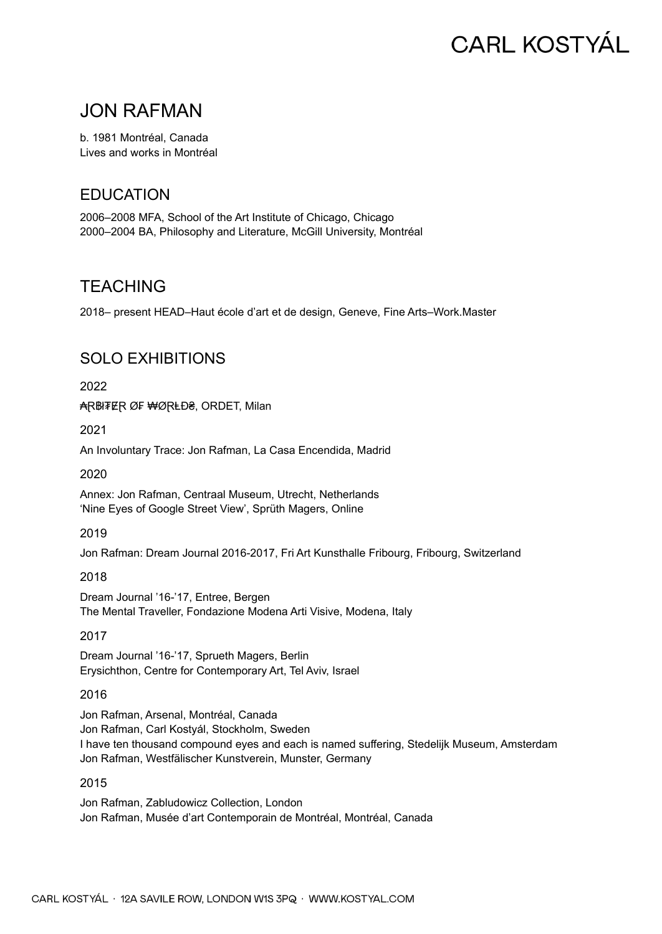# **CARL KOSTYÁL**

## JON RAFMAN

b. 1981 Montréal, Canada Lives and works in Montréal

## **EDUCATION**

2006–2008 MFA, School of the Art Institute of Chicago, Chicago 2000–2004 BA, Philosophy and Literature, McGill University, Montréal

## **TEACHING**

2018– present HEAD–Haut école d'art et de design, Geneve, Fine Arts–Work.Master

## SOLO EXHIBITIONS

2022

₳R₿ł₮₢R Ø₣ ₩ØRŁĐ₴, ORDET, Milan

2021

An Involuntary Trace: Jon Rafman, La Casa Encendida, Madrid

2020

Annex: Jon Rafman, Centraal Museum, Utrecht, Netherlands 'Nine Eyes of Google Street View', Sprüth Magers, Online

2019

Jon Rafman: Dream Journal 2016-2017, Fri Art Kunsthalle Fribourg, Fribourg, Switzerland

2018

Dream Journal '16-'17, Entree, Bergen The Mental Traveller, Fondazione Modena Arti Visive, Modena, Italy

#### 2017

Dream Journal '16-'17, Sprueth Magers, Berlin Erysichthon, Centre for Contemporary Art, Tel Aviv, Israel

2016

Jon Rafman, Arsenal, Montréal, Canada Jon Rafman, Carl Kostyál, Stockholm, Sweden I have ten thousand compound eyes and each is named suffering, Stedelijk Museum, Amsterdam Jon Rafman, Westfälischer Kunstverein, Munster, Germany

#### 2015

Jon Rafman, Zabludowicz Collection, London Jon Rafman, Musée d'art Contemporain de Montréal, Montréal, Canada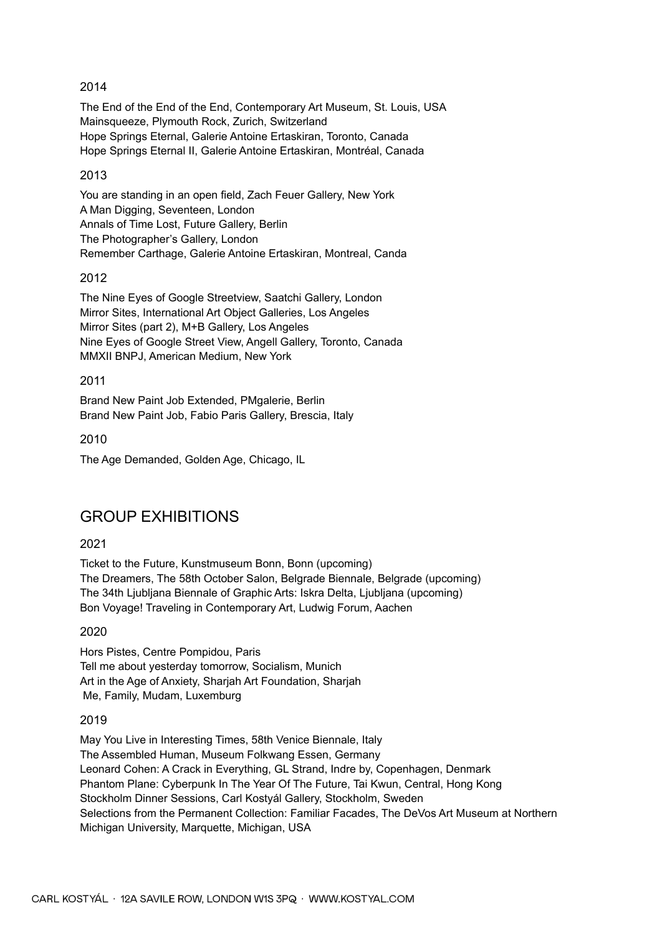#### 2014

The End of the End of the End, Contemporary Art Museum, St. Louis, USA Mainsqueeze, Plymouth Rock, Zurich, Switzerland Hope Springs Eternal, Galerie Antoine Ertaskiran, Toronto, Canada Hope Springs Eternal II, Galerie Antoine Ertaskiran, Montréal, Canada

#### 2013

You are standing in an open field, Zach Feuer Gallery, New York A Man Digging, Seventeen, London Annals of Time Lost, Future Gallery, Berlin The Photographer's Gallery, London Remember Carthage, Galerie Antoine Ertaskiran, Montreal, Canda

#### 2012

The Nine Eyes of Google Streetview, Saatchi Gallery, London Mirror Sites, International Art Object Galleries, Los Angeles Mirror Sites (part 2), M+B Gallery, Los Angeles Nine Eyes of Google Street View, Angell Gallery, Toronto, Canada MMXII BNPJ, American Medium, New York

2011

Brand New Paint Job Extended, PMgalerie, Berlin Brand New Paint Job, Fabio Paris Gallery, Brescia, Italy

2010

The Age Demanded, Golden Age, Chicago, IL

### GROUP EXHIBITIONS

#### 2021

Ticket to the Future, Kunstmuseum Bonn, Bonn (upcoming) The Dreamers, The 58th October Salon, Belgrade Biennale, Belgrade (upcoming) The 34th Ljubljana Biennale of Graphic Arts: Iskra Delta, Ljubljana (upcoming) Bon Voyage! Traveling in Contemporary Art, Ludwig Forum, Aachen

#### 2020

Hors Pistes, Centre Pompidou, Paris Tell me about yesterday tomorrow, Socialism, Munich Art in the Age of Anxiety, Sharjah Art Foundation, Sharjah Me, Family, Mudam, Luxemburg

#### 2019

May You Live in Interesting Times, 58th Venice Biennale, Italy The Assembled Human, Museum Folkwang Essen, Germany Leonard Cohen: A Crack in Everything, GL Strand, Indre by, Copenhagen, Denmark Phantom Plane: Cyberpunk In The Year Of The Future, Tai Kwun, Central, Hong Kong Stockholm Dinner Sessions, Carl Kostyál Gallery, Stockholm, Sweden Selections from the Permanent Collection: Familiar Facades, The DeVos Art Museum at Northern Michigan University, Marquette, Michigan, USA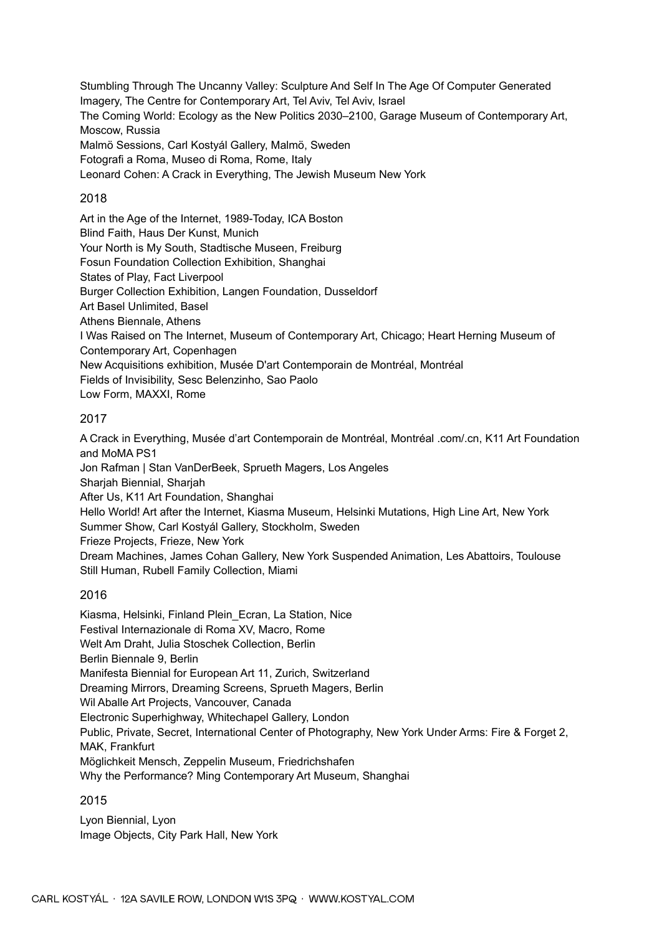Stumbling Through The Uncanny Valley: Sculpture And Self In The Age Of Computer Generated Imagery, The Centre for Contemporary Art, Tel Aviv, Tel Aviv, Israel The Coming World: Ecology as the New Politics 2030–2100, Garage Museum of Contemporary Art, Moscow, Russia Malmö Sessions, Carl Kostyál Gallery, Malmö, Sweden Fotografi a Roma, Museo di Roma, Rome, Italy Leonard Cohen: A Crack in Everything, The Jewish Museum New York

#### 2018

Art in the Age of the Internet, 1989-Today, ICA Boston Blind Faith, Haus Der Kunst, Munich Your North is My South, Stadtische Museen, Freiburg Fosun Foundation Collection Exhibition, Shanghai States of Play, Fact Liverpool Burger Collection Exhibition, Langen Foundation, Dusseldorf Art Basel Unlimited, Basel Athens Biennale, Athens I Was Raised on The Internet, Museum of Contemporary Art, Chicago; Heart Herning Museum of Contemporary Art, Copenhagen New Acquisitions exhibition, Musée D'art Contemporain de Montréal, Montréal Fields of Invisibility, Sesc Belenzinho, Sao Paolo Low Form, MAXXI, Rome

#### 2017

A Crack in Everything, Musée d'art Contemporain de Montréal, Montréal .com/.cn, K11 Art Foundation and MoMA PS1 Jon Rafman | Stan VanDerBeek, Sprueth Magers, Los Angeles Sharjah Biennial, Sharjah After Us, K11 Art Foundation, Shanghai Hello World! Art after the Internet, Kiasma Museum, Helsinki Mutations, High Line Art, New York Summer Show, Carl Kostyál Gallery, Stockholm, Sweden Frieze Projects, Frieze, New York Dream Machines, James Cohan Gallery, New York Suspended Animation, Les Abattoirs, Toulouse Still Human, Rubell Family Collection, Miami

#### 2016

Kiasma, Helsinki, Finland Plein\_Ecran, La Station, Nice Festival Internazionale di Roma XV, Macro, Rome Welt Am Draht, Julia Stoschek Collection, Berlin Berlin Biennale 9, Berlin Manifesta Biennial for European Art 11, Zurich, Switzerland Dreaming Mirrors, Dreaming Screens, Sprueth Magers, Berlin Wil Aballe Art Projects, Vancouver, Canada Electronic Superhighway, Whitechapel Gallery, London Public, Private, Secret, International Center of Photography, New York Under Arms: Fire & Forget 2, MAK, Frankfurt Möglichkeit Mensch, Zeppelin Museum, Friedrichshafen Why the Performance? Ming Contemporary Art Museum, Shanghai

#### 2015

Lyon Biennial, Lyon Image Objects, City Park Hall, New York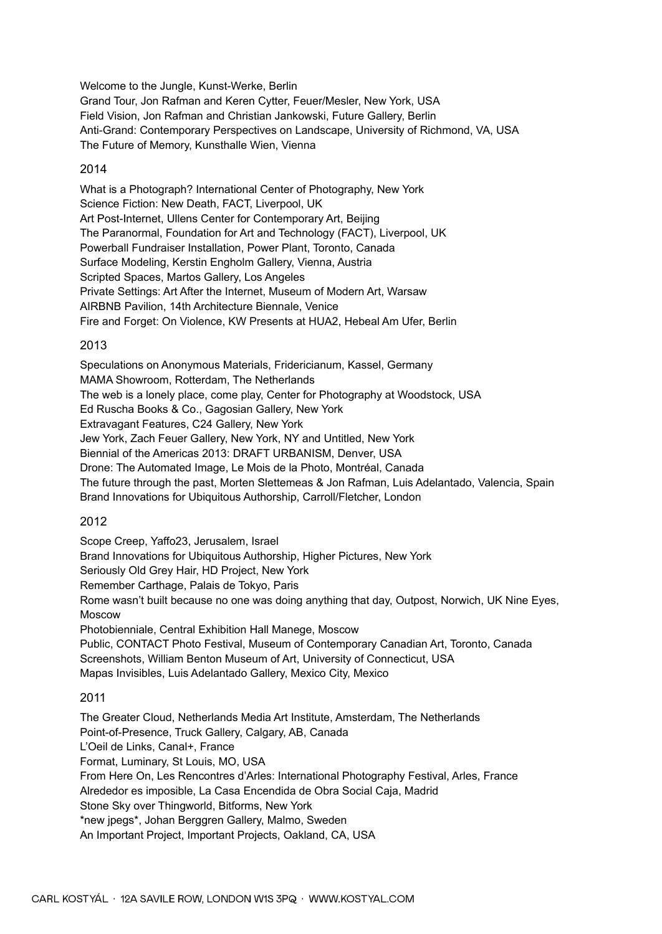Welcome to the Jungle, Kunst-Werke, Berlin Grand Tour, Jon Rafman and Keren Cytter, Feuer/Mesler, New York, USA Field Vision, Jon Rafman and Christian Jankowski, Future Gallery, Berlin Anti-Grand: Contemporary Perspectives on Landscape, University of Richmond, VA, USA The Future of Memory, Kunsthalle Wien, Vienna

#### 2014

What is a Photograph? International Center of Photography, New York Science Fiction: New Death, FACT, Liverpool, UK Art Post-Internet, Ullens Center for Contemporary Art, Beijing The Paranormal, Foundation for Art and Technology (FACT), Liverpool, UK Powerball Fundraiser Installation, Power Plant, Toronto, Canada Surface Modeling, Kerstin Engholm Gallery, Vienna, Austria Scripted Spaces, Martos Gallery, Los Angeles Private Settings: Art After the Internet, Museum of Modern Art, Warsaw AIRBNB Pavilion, 14th Architecture Biennale, Venice Fire and Forget: On Violence, KW Presents at HUA2, Hebeal Am Ufer, Berlin

#### 2013

Speculations on Anonymous Materials, Fridericianum, Kassel, Germany MAMA Showroom, Rotterdam, The Netherlands The web is a lonely place, come play, Center for Photography at Woodstock, USA Ed Ruscha Books & Co., Gagosian Gallery, New York Extravagant Features, C24 Gallery, New York Jew York, Zach Feuer Gallery, New York, NY and Untitled, New York Biennial of the Americas 2013: DRAFT URBANISM, Denver, USA Drone: The Automated Image, Le Mois de la Photo, Montréal, Canada The future through the past, Morten Slettemeas & Jon Rafman, Luis Adelantado, Valencia, Spain Brand Innovations for Ubiquitous Authorship, Carroll/Fletcher, London

#### 2012

Scope Creep, Yaffo23, Jerusalem, Israel Brand Innovations for Ubiquitous Authorship, Higher Pictures, New York Seriously Old Grey Hair, HD Project, New York Remember Carthage, Palais de Tokyo, Paris Rome wasn't built because no one was doing anything that day, Outpost, Norwich, UK Nine Eyes, Moscow Photobienniale, Central Exhibition Hall Manege, Moscow Public, CONTACT Photo Festival, Museum of Contemporary Canadian Art, Toronto, Canada Screenshots, William Benton Museum of Art, University of Connecticut, USA Mapas Invisibles, Luis Adelantado Gallery, Mexico City, Mexico

#### 2011

The Greater Cloud, Netherlands Media Art Institute, Amsterdam, The Netherlands Point-of-Presence, Truck Gallery, Calgary, AB, Canada L'Oeil de Links, Canal+, France Format, Luminary, St Louis, MO, USA From Here On, Les Rencontres d'Arles: International Photography Festival, Arles, France Alrededor es imposible, La Casa Encendida de Obra Social Caja, Madrid Stone Sky over Thingworld, Bitforms, New York \*new jpegs\*, Johan Berggren Gallery, Malmo, Sweden An Important Project, Important Projects, Oakland, CA, USA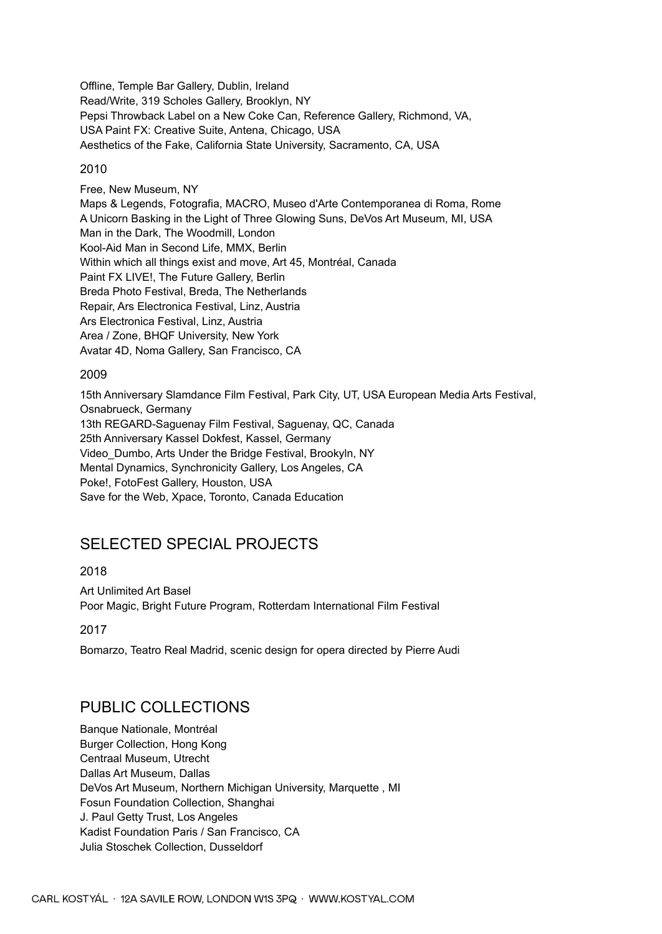Offline, Temple Bar Gallery, Dublin, Ireland Read/Write, 319 Scholes Gallery, Brooklyn, NY Pepsi Throwback Label on a New Coke Can, Reference Gallery, Richmond, VA, USA Paint FX: Creative Suite, Antena, Chicago, USA Aesthetics of the Fake, California State University, Sacramento, CA, USA

#### 2010

Free, New Museum, NY Maps & Legends, Fotografia, MACRO, Museo d'Arte Contemporanea di Roma, Rome A Unicorn Basking in the Light of Three Glowing Suns, DeVos Art Museum, MI, USA Man in the Dark, The Woodmill, London Kool-Aid Man in Second Life, MMX, Berlin Within which all things exist and move, Art 45, Montréal, Canada Paint FX LIVE!, The Future Gallery, Berlin Breda Photo Festival, Breda, The Netherlands Repair, Ars Electronica Festival, Linz, Austria Ars Electronica Festival, Linz, Austria Area / Zone, BHQF University, New York Avatar 4D, Noma Gallery, San Francisco, CA

#### 2009

15th Anniversary Slamdance Film Festival, Park City, UT, USA European Media Arts Festival, Osnabrueck, Germany 13th REGARD-Saguenay Film Festival, Saguenay, QC, Canada 25th Anniversary Kassel Dokfest, Kassel, Germany Video\_Dumbo, Arts Under the Bridge Festival, Brookyln, NY Mental Dynamics, Synchronicity Gallery, Los Angeles, CA Poke!, FotoFest Gallery, Houston, USA Save for the Web, Xpace, Toronto, Canada Education

## SELECTED SPECIAL PROJECTS

#### 2018

Art Unlimited Art Basel Poor Magic, Bright Future Program, Rotterdam International Film Festival

2017

Bomarzo, Teatro Real Madrid, scenic design for opera directed by Pierre Audi

## PUBLIC COLLECTIONS

Banque Nationale, Montréal Burger Collection, Hong Kong Centraal Museum, Utrecht Dallas Art Museum, Dallas DeVos Art Museum, Northern Michigan University, Marquette , MI Fosun Foundation Collection, Shanghai J. Paul Getty Trust, Los Angeles Kadist Foundation Paris / San Francisco, CA Julia Stoschek Collection, Dusseldorf